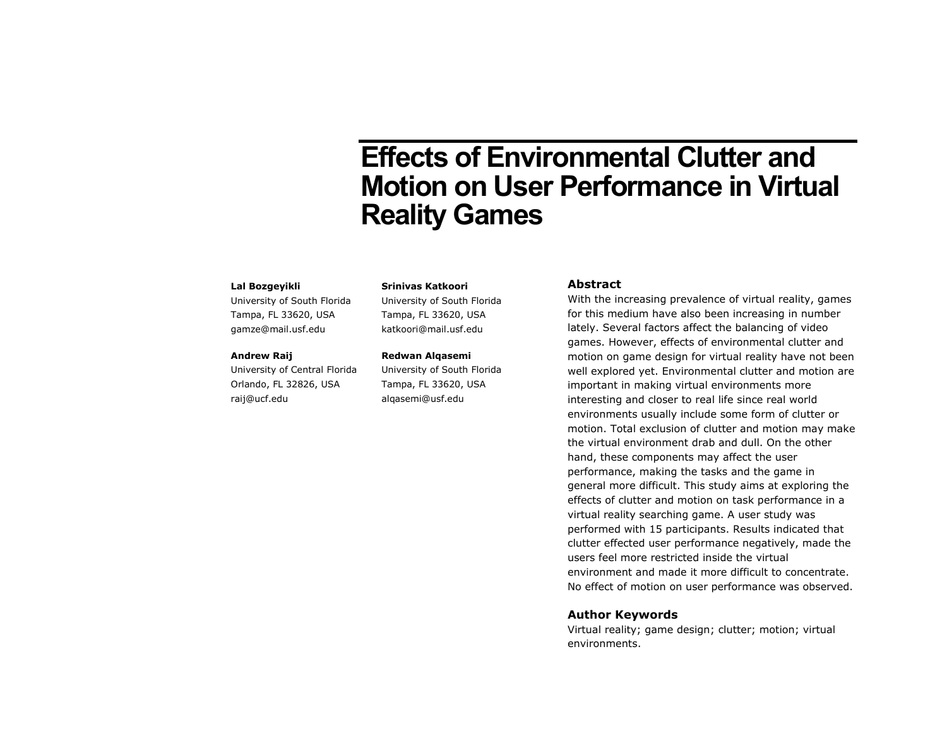# **Effects of Environmental Clutter and Motion on User Performance in Virtual Reality Games**

#### **Lal Bozgeyikli**

University of South Florida Tampa, FL 33620, USA gamze@mail.usf.edu

#### **Andrew Raij**

University of Central Florida Orlando, FL 32826, USA raij@ucf.edu

#### **Srinivas Katkoori**

University of South Florida Tampa, FL 33620, USA katkoori@mail.usf.edu

#### **Redwan Alqasemi**

University of South Florida Tampa, FL 33620, USA alqasemi@usf.edu

## **Abstract**

With the increasing prevalence of virtual reality, games for this medium have also been increasing in number lately. Several factors affect the balancing of video games. However, effects of environmental clutter and motion on game design for virtual reality have not been well explored yet. Environmental clutter and motion are important in making virtual environments more interesting and closer to real life since real world environments usually include some form of clutter or motion. Total exclusion of clutter and motion may make the virtual environment drab and dull. On the other hand, these components may affect the user performance, making the tasks and the game in general more difficult. This study aims at exploring the effects of clutter and motion on task performance in a virtual reality searching game. A user study was performed with 15 participants. Results indicated that clutter effected user performance negatively, made the users feel more restricted inside the virtual environment and made it more difficult to concentrate. No effect of motion on user performance was observed.

## **Author Keywords**

Virtual reality; game design; clutter; motion; virtual environments.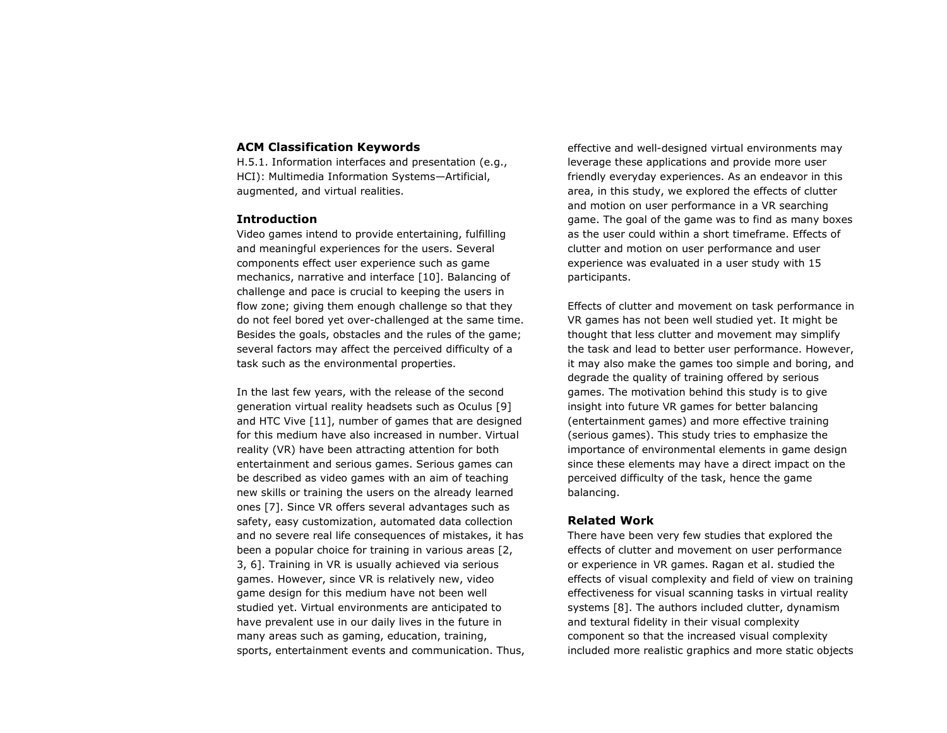### **ACM Classification Keywords**

H.5.1. Information interfaces and presentation (e.g., HCI): Multimedia Information Systems—Artificial, augmented, and virtual realities.

## **Introduction**

Video games intend to provide entertaining, fulfilling and meaningful experiences for the users. Several components effect user experience such as game mechanics, narrative and interface [10]. Balancing of challenge and pace is crucial to keeping the users in flow zone; giving them enough challenge so that they do not feel bored yet over-challenged at the same time. Besides the goals, obstacles and the rules of the game; several factors may affect the perceived difficulty of a task such as the environmental properties.

In the last few years, with the release of the second generation virtual reality headsets such as Oculus [9] and HTC Vive [11], number of games that are designed for this medium have also increased in number. Virtual reality (VR) have been attracting attention for both entertainment and serious games. Serious games can be described as video games with an aim of teaching new skills or training the users on the already learned ones [7]. Since VR offers several advantages such as safety, easy customization, automated data collection and no severe real life consequences of mistakes, it has been a popular choice for training in various areas [2, 3, 6]. Training in VR is usually achieved via serious games. However, since VR is relatively new, video game design for this medium have not been well studied yet. Virtual environments are anticipated to have prevalent use in our daily lives in the future in many areas such as gaming, education, training, sports, entertainment events and communication. Thus,

effective and well-designed virtual environments may leverage these applications and provide more user friendly everyday experiences. As an endeavor in this area, in this study, we explored the effects of clutter and motion on user performance in a VR searching game. The goal of the game was to find as many boxes as the user could within a short timeframe. Effects of clutter and motion on user performance and user experience was evaluated in a user study with 15 participants.

Effects of clutter and movement on task performance in VR games has not been well studied yet. It might be thought that less clutter and movement may simplify the task and lead to better user performance. However, it may also make the games too simple and boring, and degrade the quality of training offered by serious games. The motivation behind this study is to give insight into future VR games for better balancing (entertainment games) and more effective training (serious games). This study tries to emphasize the importance of environmental elements in game design since these elements may have a direct impact on the perceived difficulty of the task, hence the game balancing.

## **Related Work**

There have been very few studies that explored the effects of clutter and movement on user performance or experience in VR games. Ragan et al. studied the effects of visual complexity and field of view on training effectiveness for visual scanning tasks in virtual reality systems [8]. The authors included clutter, dynamism and textural fidelity in their visual complexity component so that the increased visual complexity included more realistic graphics and more static objects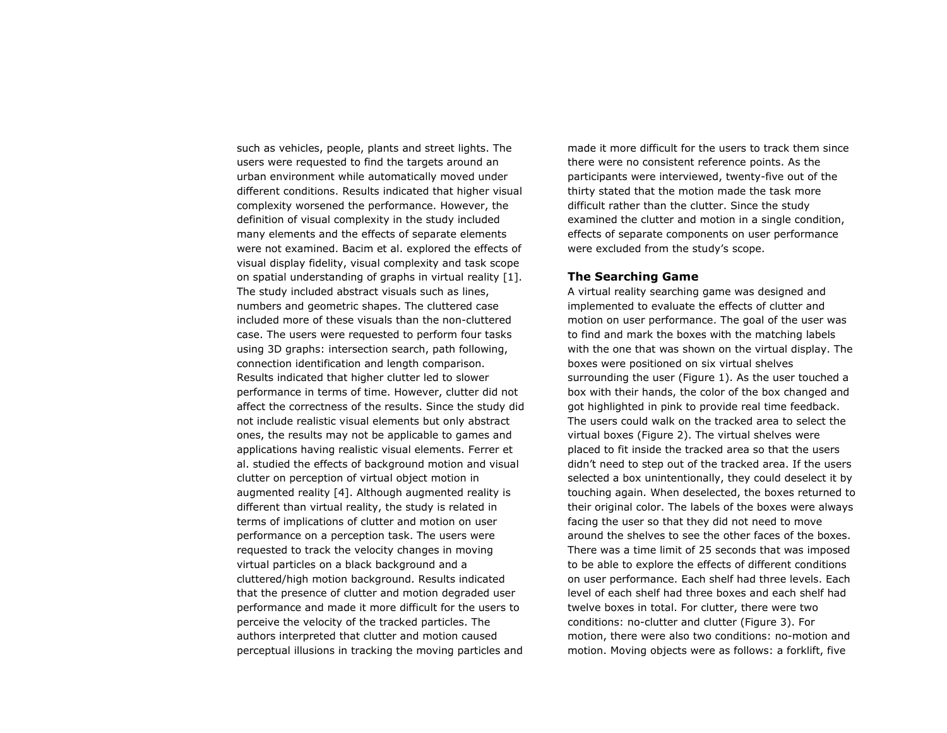such as vehicles, people, plants and street lights. The users were requested to find the targets around an urban environment while automatically moved under different conditions. Results indicated that higher visual complexity worsened the performance. However, the definition of visual complexity in the study included many elements and the effects of separate elements were not examined. Bacim et al. explored the effects of visual display fidelity, visual complexity and task scope on spatial understanding of graphs in virtual reality [1]. The study included abstract visuals such as lines, numbers and geometric shapes. The cluttered case included more of these visuals than the non-cluttered case. The users were requested to perform four tasks using 3D graphs: intersection search, path following, connection identification and length comparison. Results indicated that higher clutter led to slower performance in terms of time. However, clutter did not affect the correctness of the results. Since the study did not include realistic visual elements but only abstract ones, the results may not be applicable to games and applications having realistic visual elements. Ferrer et al. studied the effects of background motion and visual clutter on perception of virtual object motion in augmented reality [4]. Although augmented reality is different than virtual reality, the study is related in terms of implications of clutter and motion on user performance on a perception task. The users were requested to track the velocity changes in moving virtual particles on a black background and a cluttered/high motion background. Results indicated that the presence of clutter and motion degraded user performance and made it more difficult for the users to perceive the velocity of the tracked particles. The authors interpreted that clutter and motion caused perceptual illusions in tracking the moving particles and

made it more difficult for the users to track them since there were no consistent reference points. As the participants were interviewed, twenty-five out of the thirty stated that the motion made the task more difficult rather than the clutter. Since the study examined the clutter and motion in a single condition, effects of separate components on user performance were excluded from the study's scope.

# **The Searching Game**

A virtual reality searching game was designed and implemented to evaluate the effects of clutter and motion on user performance. The goal of the user was to find and mark the boxes with the matching labels with the one that was shown on the virtual display. The boxes were positioned on six virtual shelves surrounding the user (Figure 1). As the user touched a box with their hands, the color of the box changed and got highlighted in pink to provide real time feedback. The users could walk on the tracked area to select the virtual boxes (Figure 2). The virtual shelves were placed to fit inside the tracked area so that the users didn't need to step out of the tracked area. If the users selected a box unintentionally, they could deselect it by touching again. When deselected, the boxes returned to their original color. The labels of the boxes were always facing the user so that they did not need to move around the shelves to see the other faces of the boxes. There was a time limit of 25 seconds that was imposed to be able to explore the effects of different conditions on user performance. Each shelf had three levels. Each level of each shelf had three boxes and each shelf had twelve boxes in total. For clutter, there were two conditions: no-clutter and clutter (Figure 3). For motion, there were also two conditions: no-motion and motion. Moving objects were as follows: a forklift, five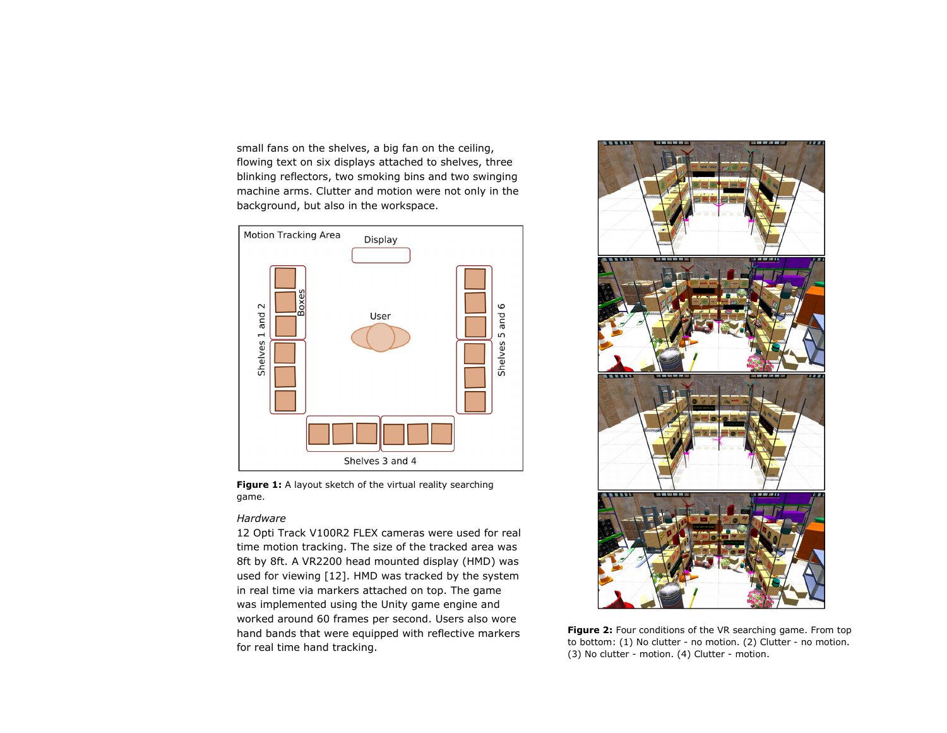small fans on the shelves, a big fan on the ceiling, flowing text on six displays attached to shelves, three blinking reflectors, two smoking bins and two swinging machine arms. Clutter and motion were not only in the background, but also in the workspace.



Figure 1: A layout sketch of the virtual reality searching game.

### *Hardware*

12 Opti Track V100R2 FLEX cameras were used for real time motion tracking. The size of the tracked area was 8ft by 8ft. A VR2200 head mounted display (HMD) was used for viewing [12]. HMD was tracked by the system in real time via markers attached on top. The game was implemented using the Unity game engine and worked around 60 frames per second. Users also wore hand bands that were equipped with reflective markers for real time hand tracking.



**Figure 2:** Four conditions of the VR searching game. From top to bottom: (1) No clutter - no motion. (2) Clutter - no motion. (3) No clutter - motion. (4) Clutter - motion.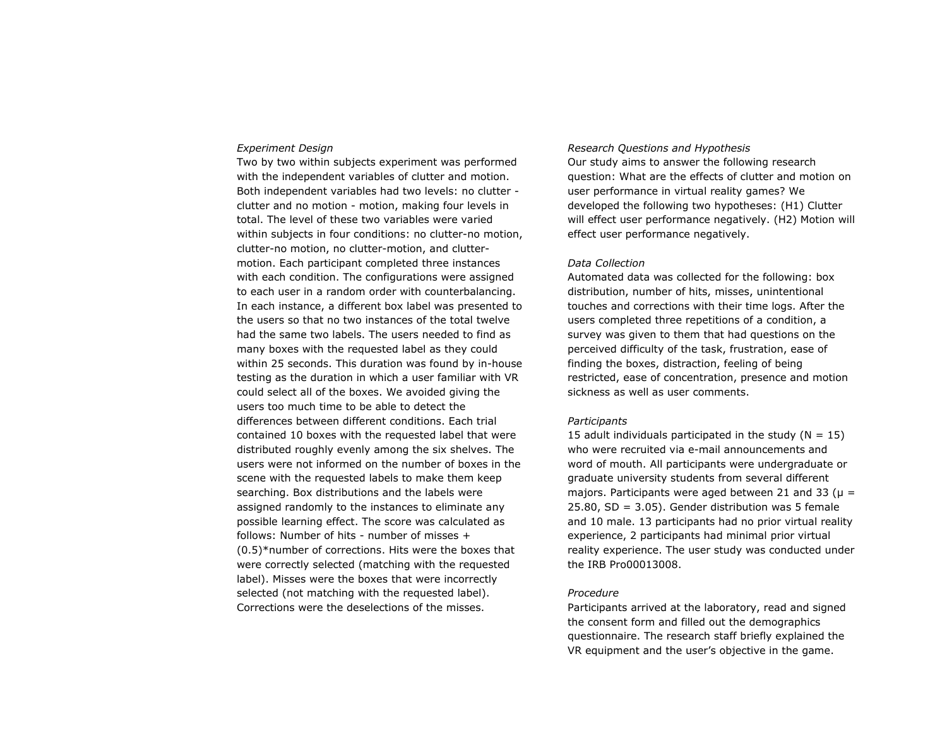#### *Experiment Design*

Two by two within subjects experiment was performed with the independent variables of clutter and motion. Both independent variables had two levels: no clutter clutter and no motion - motion, making four levels in total. The level of these two variables were varied within subjects in four conditions: no clutter-no motion, clutter-no motion, no clutter-motion, and cluttermotion. Each participant completed three instances with each condition. The configurations were assigned to each user in a random order with counterbalancing. In each instance, a different box label was presented to the users so that no two instances of the total twelve had the same two labels. The users needed to find as many boxes with the requested label as they could within 25 seconds. This duration was found by in-house testing as the duration in which a user familiar with VR could select all of the boxes. We avoided giving the users too much time to be able to detect the differences between different conditions. Each trial contained 10 boxes with the requested label that were distributed roughly evenly among the six shelves. The users were not informed on the number of boxes in the scene with the requested labels to make them keep searching. Box distributions and the labels were assigned randomly to the instances to eliminate any possible learning effect. The score was calculated as follows: Number of hits - number of misses + (0.5)\*number of corrections. Hits were the boxes that were correctly selected (matching with the requested label). Misses were the boxes that were incorrectly selected (not matching with the requested label). Corrections were the deselections of the misses.

#### *Research Questions and Hypothesis*

Our study aims to answer the following research question: What are the effects of clutter and motion on user performance in virtual reality games? We developed the following two hypotheses: (H1) Clutter will effect user performance negatively. (H2) Motion will effect user performance negatively.

#### *Data Collection*

Automated data was collected for the following: box distribution, number of hits, misses, unintentional touches and corrections with their time logs. After the users completed three repetitions of a condition, a survey was given to them that had questions on the perceived difficulty of the task, frustration, ease of finding the boxes, distraction, feeling of being restricted, ease of concentration, presence and motion sickness as well as user comments.

#### *Participants*

15 adult individuals participated in the study  $(N = 15)$ who were recruited via e-mail announcements and word of mouth. All participants were undergraduate or graduate university students from several different majors. Participants were aged between 21 and 33 ( $\mu$  =  $25.80$ , SD =  $3.05$ ). Gender distribution was 5 female and 10 male. 13 participants had no prior virtual reality experience, 2 participants had minimal prior virtual reality experience. The user study was conducted under the IRB Pro00013008.

#### *Procedure*

Participants arrived at the laboratory, read and signed the consent form and filled out the demographics questionnaire. The research staff briefly explained the VR equipment and the user's objective in the game.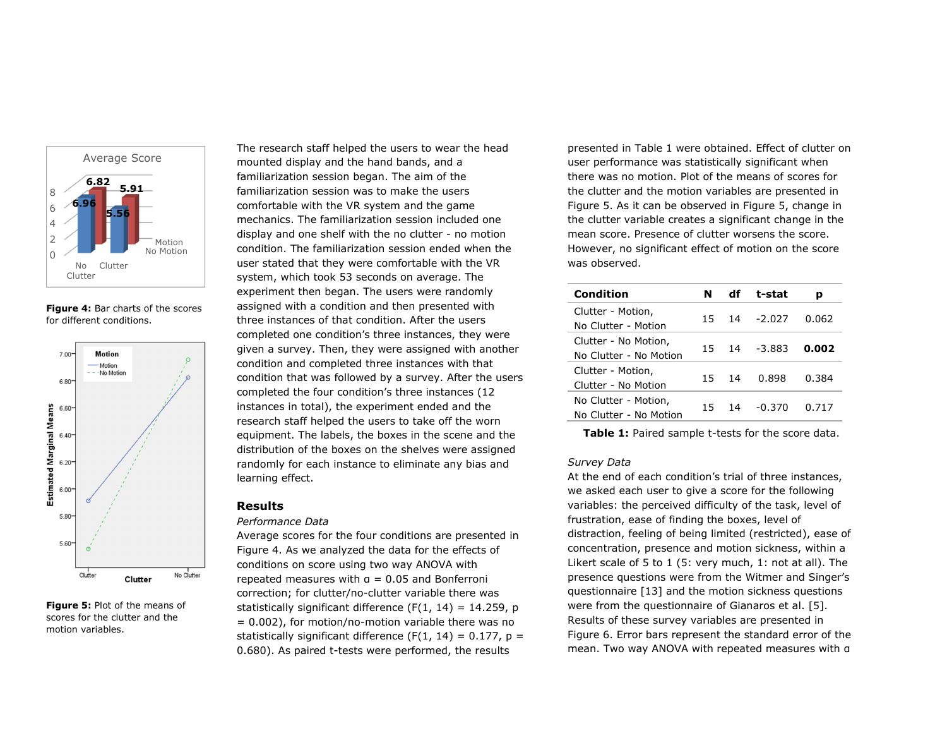

**Figure 4:** Bar charts of the scores for different conditions.



**Figure 5:** Plot of the means of scores for the clutter and the motion variables.

The research staff helped the users to wear the head mounted display and the hand bands, and a familiarization session began. The aim of the familiarization session was to make the users comfortable with the VR system and the game mechanics. The familiarization session included one display and one shelf with the no clutter - no motion condition. The familiarization session ended when the user stated that they were comfortable with the VR system, which took 53 seconds on average. The experiment then began. The users were randomly assigned with a condition and then presented with three instances of that condition. After the users completed one condition's three instances, they were given a survey. Then, they were assigned with another condition and completed three instances with that condition that was followed by a survey. After the users completed the four condition's three instances (12 instances in total), the experiment ended and the research staff helped the users to take off the worn equipment. The labels, the boxes in the scene and the distribution of the boxes on the shelves were assigned randomly for each instance to eliminate any bias and learning effect.

# **Results**

#### *Performance Data*

Average scores for the four conditions are presented in Figure 4. As we analyzed the data for the effects of conditions on score using two way ANOVA with repeated measures with  $q = 0.05$  and Bonferroni correction; for clutter/no-clutter variable there was statistically significant difference  $(F(1, 14) = 14.259, p)$  $= 0.002$ ), for motion/no-motion variable there was no statistically significant difference (F(1, 14) =  $0.177$ , p = 0.680). As paired t-tests were performed, the results

presented in Table 1 were obtained. Effect of clutter on user performance was statistically significant when there was no motion. Plot of the means of scores for the clutter and the motion variables are presented in Figure 5. As it can be observed in Figure 5, change in the clutter variable creates a significant change in the mean score. Presence of clutter worsens the score. However, no significant effect of motion on the score was observed.

| Condition                                      | N   | df | t-stat   | р     |
|------------------------------------------------|-----|----|----------|-------|
| Clutter - Motion,<br>No Clutter - Motion       | 15  | 14 | $-2.027$ | 0.062 |
| Clutter - No Motion,<br>No Clutter - No Motion | 15. | 14 | $-3.883$ | 0.002 |
| Clutter - Motion,<br>Clutter - No Motion       | 15  | 14 | 0.898    | 0.384 |
| No Clutter - Motion,<br>No Clutter - No Motion | 15  | 14 | -0.370   | በ 717 |

**Table 1:** Paired sample t-tests for the score data.

#### *Survey Data*

At the end of each condition's trial of three instances, we asked each user to give a score for the following variables: the perceived difficulty of the task, level of frustration, ease of finding the boxes, level of distraction, feeling of being limited (restricted), ease of concentration, presence and motion sickness, within a Likert scale of 5 to 1 (5: very much, 1: not at all). The presence questions were from the Witmer and Singer's questionnaire [13] and the motion sickness questions were from the questionnaire of Gianaros et al. [5]. Results of these survey variables are presented in Figure 6. Error bars represent the standard error of the mean. Two way ANOVA with repeated measures with α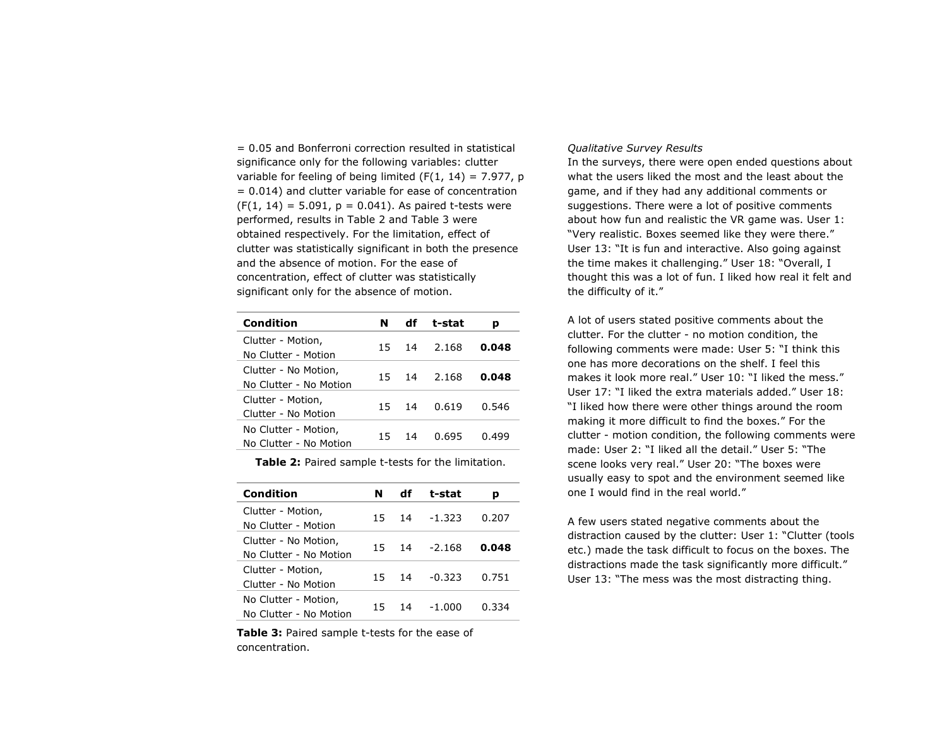= 0.05 and Bonferroni correction resulted in statistical significance only for the following variables: clutter variable for feeling of being limited (F(1, 14) = 7.977, p = 0.014) and clutter variable for ease of concentration  $(F(1, 14) = 5.091, p = 0.041)$ . As paired t-tests were performed, results in Table 2 and Table 3 were obtained respectively. For the limitation, effect of clutter was statistically significant in both the presence and the absence of motion. For the ease of concentration, effect of clutter was statistically significant only for the absence of motion.

| <b>Condition</b>                               | N  | df | t-stat | р     |
|------------------------------------------------|----|----|--------|-------|
| Clutter - Motion,<br>No Clutter - Motion       | 15 | 14 | 2.168  | 0.048 |
| Clutter - No Motion,<br>No Clutter - No Motion | 15 | 14 | 2.168  | 0.048 |
| Clutter - Motion,<br>Clutter - No Motion       | 15 | 14 | 0.619  | 0.546 |
| No Clutter - Motion,<br>No Clutter - No Motion | 15 | 14 | 0.695  | በ 499 |

**Table 2:** Paired sample t-tests for the limitation.

| Condition                                      | N   | df | t-stat   | p     |
|------------------------------------------------|-----|----|----------|-------|
| Clutter - Motion,<br>No Clutter - Motion       | 15  | 14 | $-1.323$ | 0.207 |
| Clutter - No Motion,<br>No Clutter - No Motion | 15  | 14 | $-2.168$ | 0.048 |
| Clutter - Motion,<br>Clutter - No Motion       | 15. | 14 | $-0.323$ | 0.751 |
| No Clutter - Motion,<br>No Clutter - No Motion | 15  | 14 | -1.000   | 0.334 |

**Table 3:** Paired sample t-tests for the ease of concentration.

#### *Qualitative Survey Results*

In the surveys, there were open ended questions about what the users liked the most and the least about the game, and if they had any additional comments or suggestions. There were a lot of positive comments about how fun and realistic the VR game was. User 1: "Very realistic. Boxes seemed like they were there." User 13: "It is fun and interactive. Also going against the time makes it challenging." User 18: "Overall, I thought this was a lot of fun. I liked how real it felt and the difficulty of it."

A lot of users stated positive comments about the clutter. For the clutter - no motion condition, the following comments were made: User 5: "I think this one has more decorations on the shelf. I feel this makes it look more real." User 10: "I liked the mess." User 17: "I liked the extra materials added." User 18: "I liked how there were other things around the room making it more difficult to find the boxes." For the clutter - motion condition, the following comments were made: User 2: "I liked all the detail." User 5: "The scene looks very real." User 20: "The boxes were usually easy to spot and the environment seemed like one I would find in the real world."

A few users stated negative comments about the distraction caused by the clutter: User 1: "Clutter (tools etc.) made the task difficult to focus on the boxes. The distractions made the task significantly more difficult." User 13: "The mess was the most distracting thing.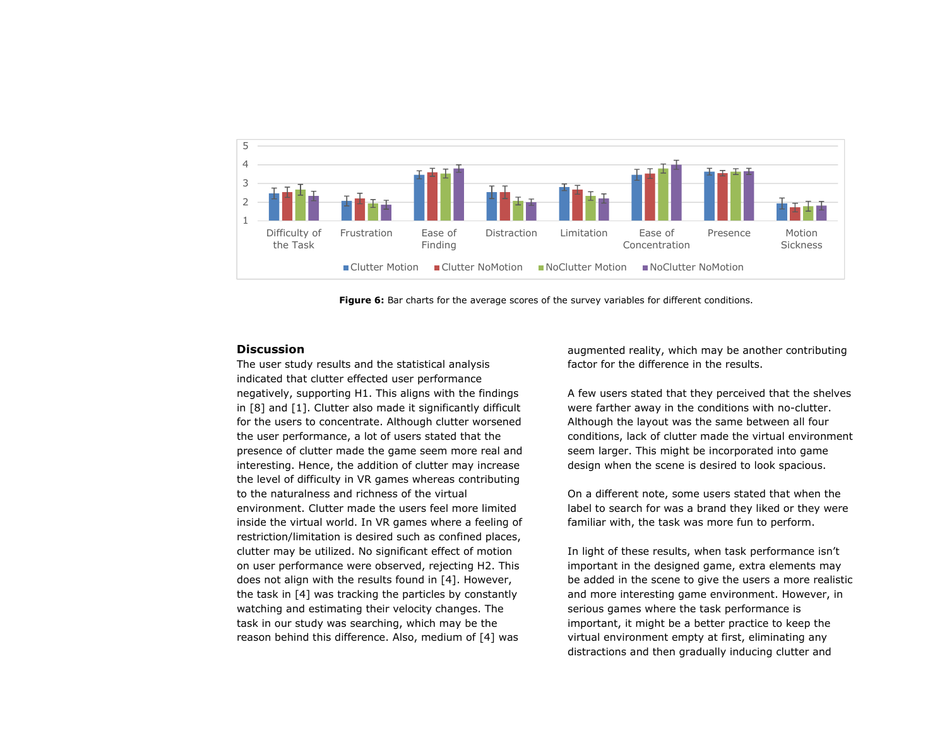

**Figure 6:** Bar charts for the average scores of the survey variables for different conditions.

#### **Discussion**

The user study results and the statistical analysis indicated that clutter effected user performance negatively, supporting H1. This aligns with the findings in [8] and [1]. Clutter also made it significantly difficult for the users to concentrate. Although clutter worsened the user performance, a lot of users stated that the presence of clutter made the game seem more real and interesting. Hence, the addition of clutter may increase the level of difficulty in VR games whereas contributing to the naturalness and richness of the virtual environment. Clutter made the users feel more limited inside the virtual world. In VR games where a feeling of restriction/limitation is desired such as confined places, clutter may be utilized. No significant effect of motion on user performance were observed, rejecting H2. This does not align with the results found in [4]. However, the task in [4] was tracking the particles by constantly watching and estimating their velocity changes. The task in our study was searching, which may be the reason behind this difference. Also, medium of [4] was

augmented reality, which may be another contributing factor for the difference in the results.

A few users stated that they perceived that the shelves were farther away in the conditions with no-clutter. Although the layout was the same between all four conditions, lack of clutter made the virtual environment seem larger. This might be incorporated into game design when the scene is desired to look spacious.

On a different note, some users stated that when the label to search for was a brand they liked or they were familiar with, the task was more fun to perform.

In light of these results, when task performance isn't important in the designed game, extra elements may be added in the scene to give the users a more realistic and more interesting game environment. However, in serious games where the task performance is important, it might be a better practice to keep the virtual environment empty at first, eliminating any distractions and then gradually inducing clutter and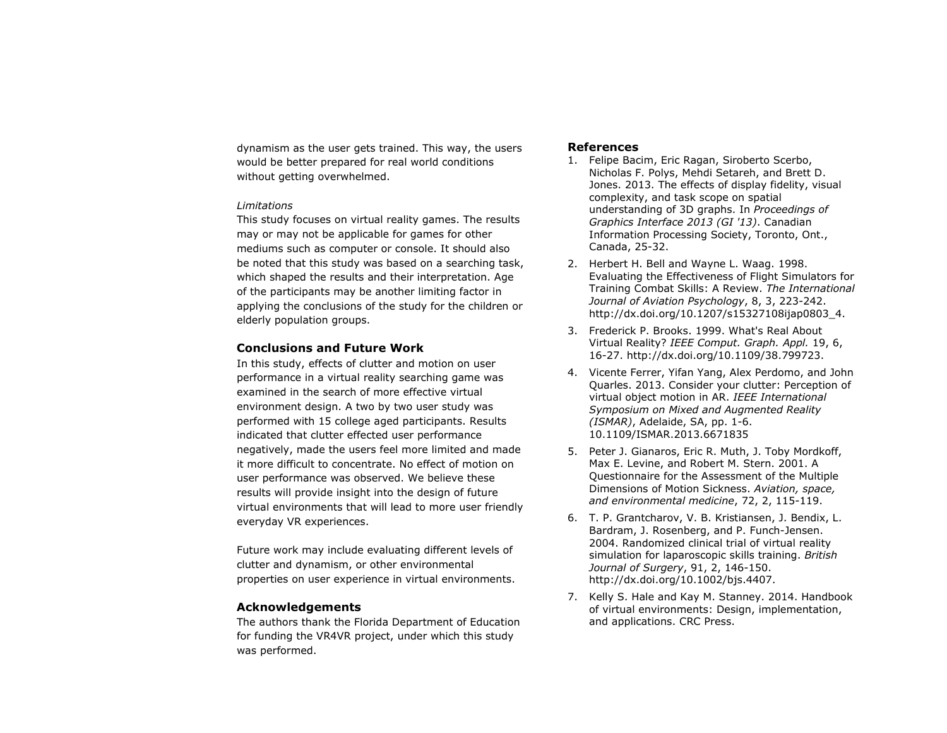dynamism as the user gets trained. This way, the users would be better prepared for real world conditions without getting overwhelmed.

#### *Limitations*

This study focuses on virtual reality games. The results may or may not be applicable for games for other mediums such as computer or console. It should also be noted that this study was based on a searching task, which shaped the results and their interpretation. Age of the participants may be another limiting factor in applying the conclusions of the study for the children or elderly population groups.

## **Conclusions and Future Work**

In this study, effects of clutter and motion on user performance in a virtual reality searching game was examined in the search of more effective virtual environment design. A two by two user study was performed with 15 college aged participants. Results indicated that clutter effected user performance negatively, made the users feel more limited and made it more difficult to concentrate. No effect of motion on user performance was observed. We believe these results will provide insight into the design of future virtual environments that will lead to more user friendly everyday VR experiences.

Future work may include evaluating different levels of clutter and dynamism, or other environmental properties on user experience in virtual environments.

### **Acknowledgements**

The authors thank the Florida Department of Education for funding the VR4VR project, under which this study was performed.

## **References**

- 1. Felipe Bacim, Eric Ragan, Siroberto Scerbo, Nicholas F. Polys, Mehdi Setareh, and Brett D. Jones. 2013. The effects of display fidelity, visual complexity, and task scope on spatial understanding of 3D graphs. In *Proceedings of Graphics Interface 2013 (GI '13)*. Canadian Information Processing Society, Toronto, Ont., Canada, 25-32.
- 2. Herbert H. Bell and Wayne L. Waag. 1998. Evaluating the Effectiveness of Flight Simulators for Training Combat Skills: A Review. *The International Journal of Aviation Psychology*, 8, 3, 223-242. http://dx.doi.org/10.1207/s15327108ijap0803\_4.
- 3. Frederick P. Brooks. 1999. What's Real About Virtual Reality? *IEEE Comput. Graph. Appl.* 19, 6, 16-27. http://dx.doi.org/10.1109/38.799723.
- 4. Vicente Ferrer, Yifan Yang, Alex Perdomo, and John Quarles. 2013. Consider your clutter: Perception of virtual object motion in AR. *IEEE International Symposium on Mixed and Augmented Reality (ISMAR)*, Adelaide, SA, pp. 1-6. 10.1109/ISMAR.2013.6671835
- 5. Peter J. Gianaros, Eric R. Muth, J. Toby Mordkoff, Max E. Levine, and Robert M. Stern. 2001. A Questionnaire for the Assessment of the Multiple Dimensions of Motion Sickness. *Aviation, space, and environmental medicine*, 72, 2, 115-119.
- 6. T. P. Grantcharov, V. B. Kristiansen, J. Bendix, L. Bardram, J. Rosenberg, and P. Funch-Jensen. 2004. Randomized clinical trial of virtual reality simulation for laparoscopic skills training. *British Journal of Surgery*, 91, 2, 146-150. http://dx.doi.org/10.1002/bjs.4407.
- 7. Kelly S. Hale and Kay M. Stanney. 2014. Handbook of virtual environments: Design, implementation, and applications. CRC Press.